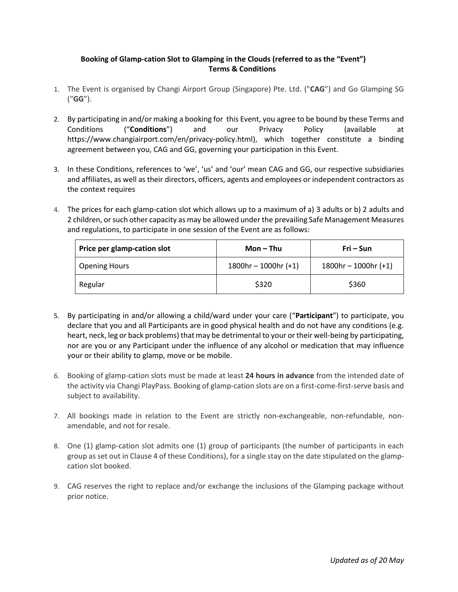## **Booking of Glamp-cation Slot to Glamping in the Clouds (referred to as the "Event") Terms & Conditions**

- 1. The Event is organised by Changi Airport Group (Singapore) Pte. Ltd. ("**CAG**") and Go Glamping SG ("**GG**").
- 2. By participating in and/or making a booking for this Event, you agree to be bound by these Terms and Conditions ("**Conditions**") and our Privacy Policy (available at https://www.changiairport.com/en/privacy-policy.html), which together constitute a binding agreement between you, CAG and GG, governing your participation in this Event.
- 3. In these Conditions, references to 'we', 'us' and 'our' mean CAG and GG, our respective subsidiaries and affiliates, as well as their directors, officers, agents and employees or independent contractors as the context requires
- 4. The prices for each glamp-cation slot which allows up to a maximum of a) 3 adults or b) 2 adults and 2 children, or such other capacity as may be allowed under the prevailing Safe Management Measures and regulations, to participate in one session of the Event are as follows:

| Price per glamp-cation slot | Mon $-$ Thu                | Fri – Sun                  |
|-----------------------------|----------------------------|----------------------------|
| Opening Hours               | $1800$ hr - $1000$ hr (+1) | $1800$ hr - $1000$ hr (+1) |
| Regular                     | \$320                      | \$360                      |

- 5. By participating in and/or allowing a child/ward under your care ("**Participant**") to participate, you declare that you and all Participants are in good physical health and do not have any conditions (e.g. heart, neck, leg or back problems) that may be detrimental to your or their well-being by participating, nor are you or any Participant under the influence of any alcohol or medication that may influence your or their ability to glamp, move or be mobile.
- 6. Booking of glamp-cation slots must be made at least **24 hours in advance** from the intended date of the activity via Changi PlayPass. Booking of glamp-cation slots are on a first-come-first-serve basis and subject to availability.
- 7. All bookings made in relation to the Event are strictly non-exchangeable, non-refundable, nonamendable, and not for resale.
- 8. One (1) glamp-cation slot admits one (1) group of participants (the number of participants in each group as set out in Clause 4 of these Conditions), for a single stay on the date stipulated on the glampcation slot booked.
- 9. CAG reserves the right to replace and/or exchange the inclusions of the Glamping package without prior notice.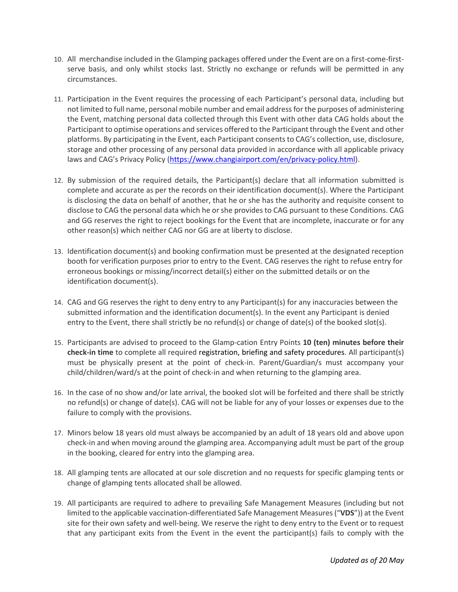- 10. All merchandise included in the Glamping packages offered under the Event are on a first-come-firstserve basis, and only whilst stocks last. Strictly no exchange or refunds will be permitted in any circumstances.
- 11. Participation in the Event requires the processing of each Participant's personal data, including but not limited to full name, personal mobile number and email addressfor the purposes of administering the Event, matching personal data collected through this Event with other data CAG holds about the Participant to optimise operations and services offered to the Participant through the Event and other platforms. By participating in the Event, each Participant consents to CAG's collection, use, disclosure, storage and other processing of any personal data provided in accordance with all applicable privacy laws and CAG's Privacy Policy ([https://www.changiairport.com/en/privacy-policy.html\)](https://www.changiairport.com/en/privacy-policy.html).
- 12. By submission of the required details, the Participant(s) declare that all information submitted is complete and accurate as per the records on their identification document(s). Where the Participant is disclosing the data on behalf of another, that he or she has the authority and requisite consent to disclose to CAG the personal data which he or she provides to CAG pursuant to these Conditions. CAG and GG reserves the right to reject bookings for the Event that are incomplete, inaccurate or for any other reason(s) which neither CAG nor GG are at liberty to disclose.
- 13. Identification document(s) and booking confirmation must be presented at the designated reception booth for verification purposes prior to entry to the Event. CAG reserves the right to refuse entry for erroneous bookings or missing/incorrect detail(s) either on the submitted details or on the identification document(s).
- 14. CAG and GG reserves the right to deny entry to any Participant(s) for any inaccuracies between the submitted information and the identification document(s). In the event any Participant is denied entry to the Event, there shall strictly be no refund(s) or change of date(s) of the booked slot(s).
- 15. Participants are advised to proceed to the Glamp-cation Entry Points **10 (ten) minutes before their check-in time** to complete all required registration, briefing and safety procedures. All participant(s) must be physically present at the point of check-in. Parent/Guardian/s must accompany your child/children/ward/s at the point of check-in and when returning to the glamping area.
- 16. In the case of no show and/or late arrival, the booked slot will be forfeited and there shall be strictly no refund(s) or change of date(s). CAG will not be liable for any of your losses or expenses due to the failure to comply with the provisions.
- 17. Minors below 18 years old must always be accompanied by an adult of 18 years old and above upon check-in and when moving around the glamping area. Accompanying adult must be part of the group in the booking, cleared for entry into the glamping area.
- 18. All glamping tents are allocated at our sole discretion and no requests for specific glamping tents or change of glamping tents allocated shall be allowed.
- 19. All participants are required to adhere to prevailing Safe Management Measures (including but not limited to the applicable vaccination-differentiated Safe Management Measures("**VDS**")) at the Event site for their own safety and well-being. We reserve the right to deny entry to the Event or to request that any participant exits from the Event in the event the participant(s) fails to comply with the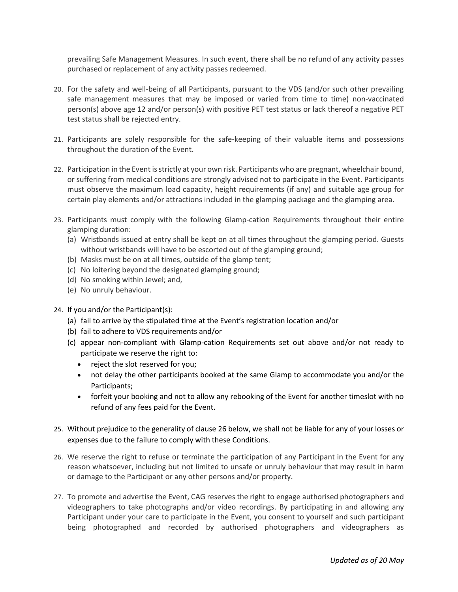prevailing Safe Management Measures. In such event, there shall be no refund of any activity passes purchased or replacement of any activity passes redeemed.

- 20. For the safety and well-being of all Participants, pursuant to the VDS (and/or such other prevailing safe management measures that may be imposed or varied from time to time) non-vaccinated person(s) above age 12 and/or person(s) with positive PET test status or lack thereof a negative PET test status shall be rejected entry.
- 21. Participants are solely responsible for the safe-keeping of their valuable items and possessions throughout the duration of the Event.
- 22. Participation in the Event is strictly at your own risk. Participants who are pregnant, wheelchair bound, or suffering from medical conditions are strongly advised not to participate in the Event. Participants must observe the maximum load capacity, height requirements (if any) and suitable age group for certain play elements and/or attractions included in the glamping package and the glamping area.
- 23. Participants must comply with the following Glamp-cation Requirements throughout their entire glamping duration:
	- (a) Wristbands issued at entry shall be kept on at all times throughout the glamping period. Guests without wristbands will have to be escorted out of the glamping ground;
	- (b) Masks must be on at all times, outside of the glamp tent;
	- (c) No loitering beyond the designated glamping ground;
	- (d) No smoking within Jewel; and,
	- (e) No unruly behaviour.
- 24. If you and/or the Participant(s):
	- (a) fail to arrive by the stipulated time at the Event's registration location and/or
	- (b) fail to adhere to VDS requirements and/or
	- (c) appear non-compliant with Glamp-cation Requirements set out above and/or not ready to participate we reserve the right to:
		- reject the slot reserved for you;
		- not delay the other participants booked at the same Glamp to accommodate you and/or the Participants;
		- forfeit your booking and not to allow any rebooking of the Event for another timeslot with no refund of any fees paid for the Event.
- 25. Without prejudice to the generality of clause 26 below, we shall not be liable for any of your losses or expenses due to the failure to comply with these Conditions.
- 26. We reserve the right to refuse or terminate the participation of any Participant in the Event for any reason whatsoever, including but not limited to unsafe or unruly behaviour that may result in harm or damage to the Participant or any other persons and/or property.
- 27. To promote and advertise the Event, CAG reserves the right to engage authorised photographers and videographers to take photographs and/or video recordings. By participating in and allowing any Participant under your care to participate in the Event, you consent to yourself and such participant being photographed and recorded by authorised photographers and videographers as